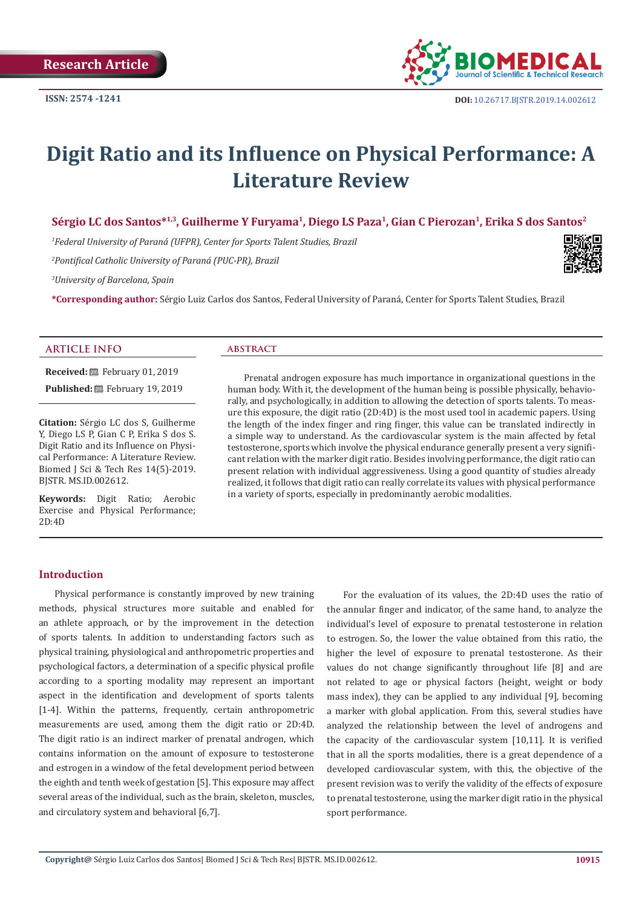

# **Digit Ratio and its Influence on Physical Performance: A Literature Review**

**Sérgio LC dos Santos\*1,3, Guilherme Y Furyama<sup>1</sup>, Diego LS Paza<sup>1</sup>, Gian C Pierozan1, Erika S dos Santos2**

*1 Federal University of Paraná (UFPR), Center for Sports Talent Studies, Brazil*

*2 Pontifical Catholic University of Paraná (PUC-PR), Brazil*

*3 University of Barcelona, Spain*

**\*Corresponding author:** Sérgio Luiz Carlos dos Santos, Federal University of Paraná, Center for Sports Talent Studies, Brazil

#### **ARTICLE INFO abstract**

**Received:** February 01, 2019 **Published:** 巴 February 19, 2019

**Citation:** Sérgio LC dos S, Guilherme Y, Diego LS P, Gian C P, Erika S dos S. Digit Ratio and its Influence on Physical Performance: A Literature Review. Biomed J Sci & Tech Res 14(5)-2019. BJSTR. MS.ID.002612.

**Keywords:** Digit Ratio; Aerobic Exercise and Physical Performance; 2D:4D

Prenatal androgen exposure has much importance in organizational questions in the human body. With it, the development of the human being is possible physically, behaviorally, and psychologically, in addition to allowing the detection of sports talents. To measure this exposure, the digit ratio (2D:4D) is the most used tool in academic papers. Using the length of the index finger and ring finger, this value can be translated indirectly in a simple way to understand. As the cardiovascular system is the main affected by fetal testosterone, sports which involve the physical endurance generally present a very significant relation with the marker digit ratio. Besides involving performance, the digit ratio can present relation with individual aggressiveness. Using a good quantity of studies already realized, it follows that digit ratio can really correlate its values with physical performance in a variety of sports, especially in predominantly aerobic modalities.

#### **Introduction**

Physical performance is constantly improved by new training methods, physical structures more suitable and enabled for an athlete approach, or by the improvement in the detection of sports talents. In addition to understanding factors such as physical training, physiological and anthropometric properties and psychological factors, a determination of a specific physical profile according to a sporting modality may represent an important aspect in the identification and development of sports talents [1-4]. Within the patterns, frequently, certain anthropometric measurements are used, among them the digit ratio or 2D:4D. The digit ratio is an indirect marker of prenatal androgen, which contains information on the amount of exposure to testosterone and estrogen in a window of the fetal development period between the eighth and tenth week of gestation [5]. This exposure may affect several areas of the individual, such as the brain, skeleton, muscles, and circulatory system and behavioral [6,7].

For the evaluation of its values, the 2D:4D uses the ratio of the annular finger and indicator, of the same hand, to analyze the individual's level of exposure to prenatal testosterone in relation to estrogen. So, the lower the value obtained from this ratio, the higher the level of exposure to prenatal testosterone. As their values do not change significantly throughout life [8] and are not related to age or physical factors (height, weight or body mass index), they can be applied to any individual [9], becoming a marker with global application. From this, several studies have analyzed the relationship between the level of androgens and the capacity of the cardiovascular system [10,11]. It is verified that in all the sports modalities, there is a great dependence of a developed cardiovascular system, with this, the objective of the present revision was to verify the validity of the effects of exposure to prenatal testosterone, using the marker digit ratio in the physical sport performance.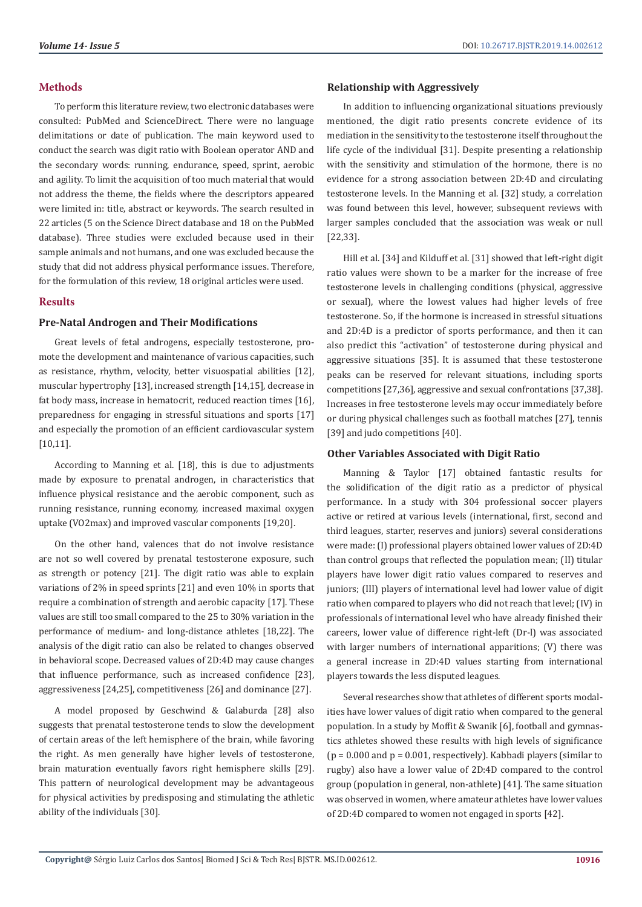#### **Methods**

To perform this literature review, two electronic databases were consulted: PubMed and ScienceDirect. There were no language delimitations or date of publication. The main keyword used to conduct the search was digit ratio with Boolean operator AND and the secondary words: running, endurance, speed, sprint, aerobic and agility. To limit the acquisition of too much material that would not address the theme, the fields where the descriptors appeared were limited in: title, abstract or keywords. The search resulted in 22 articles (5 on the Science Direct database and 18 on the PubMed database). Three studies were excluded because used in their sample animals and not humans, and one was excluded because the study that did not address physical performance issues. Therefore, for the formulation of this review, 18 original articles were used.

## **Results**

#### **Pre-Natal Androgen and Their Modifications**

Great levels of fetal androgens, especially testosterone, promote the development and maintenance of various capacities, such as resistance, rhythm, velocity, better visuospatial abilities [12], muscular hypertrophy [13], increased strength [14,15], decrease in fat body mass, increase in hematocrit, reduced reaction times [16], preparedness for engaging in stressful situations and sports [17] and especially the promotion of an efficient cardiovascular system [10,11].

According to Manning et al. [18], this is due to adjustments made by exposure to prenatal androgen, in characteristics that influence physical resistance and the aerobic component, such as running resistance, running economy, increased maximal oxygen uptake (VO2max) and improved vascular components [19,20].

On the other hand, valences that do not involve resistance are not so well covered by prenatal testosterone exposure, such as strength or potency [21]. The digit ratio was able to explain variations of 2% in speed sprints [21] and even 10% in sports that require a combination of strength and aerobic capacity [17]. These values are still too small compared to the 25 to 30% variation in the performance of medium- and long-distance athletes [18,22]. The analysis of the digit ratio can also be related to changes observed in behavioral scope. Decreased values of 2D:4D may cause changes that influence performance, such as increased confidence [23], aggressiveness [24,25], competitiveness [26] and dominance [27].

A model proposed by Geschwind & Galaburda [28] also suggests that prenatal testosterone tends to slow the development of certain areas of the left hemisphere of the brain, while favoring the right. As men generally have higher levels of testosterone, brain maturation eventually favors right hemisphere skills [29]. This pattern of neurological development may be advantageous for physical activities by predisposing and stimulating the athletic ability of the individuals [30].

#### **Relationship with Aggressively**

In addition to influencing organizational situations previously mentioned, the digit ratio presents concrete evidence of its mediation in the sensitivity to the testosterone itself throughout the life cycle of the individual [31]. Despite presenting a relationship with the sensitivity and stimulation of the hormone, there is no evidence for a strong association between 2D:4D and circulating testosterone levels. In the Manning et al. [32] study, a correlation was found between this level, however, subsequent reviews with larger samples concluded that the association was weak or null [22,33].

Hill et al. [34] and Kilduff et al. [31] showed that left-right digit ratio values were shown to be a marker for the increase of free testosterone levels in challenging conditions (physical, aggressive or sexual), where the lowest values had higher levels of free testosterone. So, if the hormone is increased in stressful situations and 2D:4D is a predictor of sports performance, and then it can also predict this "activation" of testosterone during physical and aggressive situations [35]. It is assumed that these testosterone peaks can be reserved for relevant situations, including sports competitions [27,36], aggressive and sexual confrontations [37,38]. Increases in free testosterone levels may occur immediately before or during physical challenges such as football matches [27], tennis [39] and judo competitions [40].

#### **Other Variables Associated with Digit Ratio**

Manning & Taylor [17] obtained fantastic results for the solidification of the digit ratio as a predictor of physical performance. In a study with 304 professional soccer players active or retired at various levels (international, first, second and third leagues, starter, reserves and juniors) several considerations were made: (I) professional players obtained lower values of 2D:4D than control groups that reflected the population mean; (II) titular players have lower digit ratio values compared to reserves and juniors; (III) players of international level had lower value of digit ratio when compared to players who did not reach that level; (IV) in professionals of international level who have already finished their careers, lower value of difference right-left (Dr-l) was associated with larger numbers of international apparitions; (V) there was a general increase in 2D:4D values starting from international players towards the less disputed leagues.

Several researches show that athletes of different sports modalities have lower values of digit ratio when compared to the general population. In a study by Moffit & Swanik [6], football and gymnastics athletes showed these results with high levels of significance  $(p = 0.000$  and  $p = 0.001$ , respectively). Kabbadi players (similar to rugby) also have a lower value of 2D:4D compared to the control group (population in general, non-athlete) [41]. The same situation was observed in women, where amateur athletes have lower values of 2D:4D compared to women not engaged in sports [42].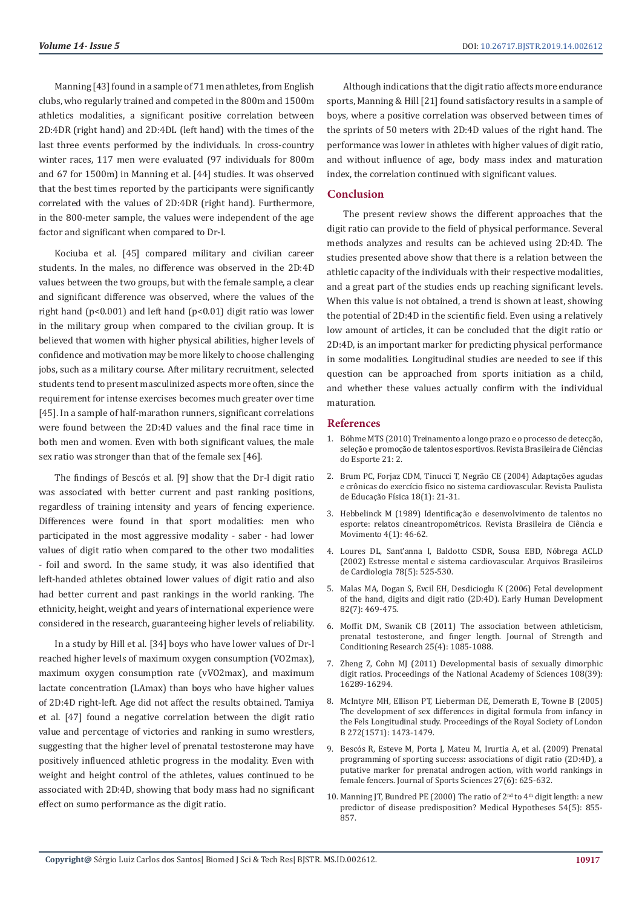Manning [43] found in a sample of 71 men athletes, from English clubs, who regularly trained and competed in the 800m and 1500m athletics modalities, a significant positive correlation between 2D:4DR (right hand) and 2D:4DL (left hand) with the times of the last three events performed by the individuals. In cross-country winter races, 117 men were evaluated (97 individuals for 800m and 67 for 1500m) in Manning et al. [44] studies. It was observed that the best times reported by the participants were significantly correlated with the values of 2D:4DR (right hand). Furthermore, in the 800-meter sample, the values were independent of the age factor and significant when compared to Dr-l.

Kociuba et al. [45] compared military and civilian career students. In the males, no difference was observed in the 2D:4D values between the two groups, but with the female sample, a clear and significant difference was observed, where the values of the right hand (p<0.001) and left hand (p<0.01) digit ratio was lower in the military group when compared to the civilian group. It is believed that women with higher physical abilities, higher levels of confidence and motivation may be more likely to choose challenging jobs, such as a military course. After military recruitment, selected students tend to present masculinized aspects more often, since the requirement for intense exercises becomes much greater over time [45]. In a sample of half-marathon runners, significant correlations were found between the 2D:4D values and the final race time in both men and women. Even with both significant values, the male sex ratio was stronger than that of the female sex [46].

The findings of Bescós et al. [9] show that the Dr-l digit ratio was associated with better current and past ranking positions, regardless of training intensity and years of fencing experience. Differences were found in that sport modalities: men who participated in the most aggressive modality - saber - had lower values of digit ratio when compared to the other two modalities - foil and sword. In the same study, it was also identified that left-handed athletes obtained lower values of digit ratio and also had better current and past rankings in the world ranking. The ethnicity, height, weight and years of international experience were considered in the research, guaranteeing higher levels of reliability.

In a study by Hill et al. [34] boys who have lower values of Dr-l reached higher levels of maximum oxygen consumption (VO2max), maximum oxygen consumption rate (vVO2max), and maximum lactate concentration (LAmax) than boys who have higher values of 2D:4D right-left. Age did not affect the results obtained. Tamiya et al. [47] found a negative correlation between the digit ratio value and percentage of victories and ranking in sumo wrestlers, suggesting that the higher level of prenatal testosterone may have positively influenced athletic progress in the modality. Even with weight and height control of the athletes, values continued to be associated with 2D:4D, showing that body mass had no significant effect on sumo performance as the digit ratio.

Although indications that the digit ratio affects more endurance sports, Manning & Hill [21] found satisfactory results in a sample of boys, where a positive correlation was observed between times of the sprints of 50 meters with 2D:4D values of the right hand. The performance was lower in athletes with higher values of digit ratio, and without influence of age, body mass index and maturation index, the correlation continued with significant values.

### **Conclusion**

The present review shows the different approaches that the digit ratio can provide to the field of physical performance. Several methods analyzes and results can be achieved using 2D:4D. The studies presented above show that there is a relation between the athletic capacity of the individuals with their respective modalities, and a great part of the studies ends up reaching significant levels. When this value is not obtained, a trend is shown at least, showing the potential of 2D:4D in the scientific field. Even using a relatively low amount of articles, it can be concluded that the digit ratio or 2D:4D, is an important marker for predicting physical performance in some modalities. Longitudinal studies are needed to see if this question can be approached from sports initiation as a child, and whether these values actually confirm with the individual maturation.

#### **References**

- 1. Böhme MTS (2010) Treinamento a longo prazo e o processo de detecção, seleção e promoção de talentos esportivos. Revista Brasileira de Ciências do Esporte 21: 2.
- 2. [Brum PC, Forjaz CDM, Tinucci T, Negrão CE \(2004\) Adaptações agudas](https://www.portaleducacao.com.br/conteudo/artigos/esporte/adaptacoes-agudas-e-cronicas-doexercicio-fisico-no-sistema-cardiovascular/8097) [e crônicas do exercício físico no sistema cardiovascular. Revista Paulista](https://www.portaleducacao.com.br/conteudo/artigos/esporte/adaptacoes-agudas-e-cronicas-doexercicio-fisico-no-sistema-cardiovascular/8097) [de Educação Física 18\(1\): 21-31.](https://www.portaleducacao.com.br/conteudo/artigos/esporte/adaptacoes-agudas-e-cronicas-doexercicio-fisico-no-sistema-cardiovascular/8097)
- 3. Hebbelinck M (1989) Identificação e desenvolvimento de talentos no esporte: relatos cineantropométricos. Revista Brasileira de Ciência e Movimento 4(1): 46-62.
- 4. [Loures DL, Sant'anna I, Baldotto CSDR, Sousa EBD, Nóbrega ACLD](http://www.scielo.br/scielo.php?script=sci_arttext&pid=S0066-782X2002000500012) [\(2002\) Estresse mental e sistema cardiovascular. Arquivos Brasileiros](http://www.scielo.br/scielo.php?script=sci_arttext&pid=S0066-782X2002000500012) [de Cardiologia 78\(5\): 525-530.](http://www.scielo.br/scielo.php?script=sci_arttext&pid=S0066-782X2002000500012)
- 5. [Malas MA, Dogan S, Evcil EH, Desdicioglu K \(2006\) Fetal development](https://www.ncbi.nlm.nih.gov/pubmed/16473482) [of the hand, digits and digit ratio \(2D:4D\). Early Human Development](https://www.ncbi.nlm.nih.gov/pubmed/16473482) [82\(7\): 469-475.](https://www.ncbi.nlm.nih.gov/pubmed/16473482)
- 6. [Moffit DM, Swanik CB \(2011\) The association between athleticism,](https://www.ncbi.nlm.nih.gov/pubmed/20733526) [prenatal testosterone, and finger length. Journal of Strength and](https://www.ncbi.nlm.nih.gov/pubmed/20733526) [Conditioning Research 25\(4\): 1085-1088.](https://www.ncbi.nlm.nih.gov/pubmed/20733526)
- 7. [Zheng Z, Cohn MJ \(2011\) Developmental basis of sexually dimorphic](https://www.pnas.org/content/108/39/16289) [digit ratios. Proceedings of the National Academy of Sciences 108\(39\):](https://www.pnas.org/content/108/39/16289) [16289-16294.](https://www.pnas.org/content/108/39/16289)
- 8. [McIntyre MH, Ellison PT, Lieberman DE, Demerath E, Towne B \(2005\)](https://www.ncbi.nlm.nih.gov/pmc/articles/PMC1559827/) [The development of sex differences in digital formula from infancy in](https://www.ncbi.nlm.nih.gov/pmc/articles/PMC1559827/) [the Fels Longitudinal study. Proceedings of the Royal Society of London](https://www.ncbi.nlm.nih.gov/pmc/articles/PMC1559827/) [B 272\(1571\): 1473-1479.](https://www.ncbi.nlm.nih.gov/pmc/articles/PMC1559827/)
- 9. [Bescós R, Esteve M, Porta J, Mateu M, Irurtia A, et al. \(2009\) Prenatal](https://www.ncbi.nlm.nih.gov/pubmed/19308788) [programming of sporting success: associations of digit ratio \(2D:4D\), a](https://www.ncbi.nlm.nih.gov/pubmed/19308788) [putative marker for prenatal androgen action, with world rankings in](https://www.ncbi.nlm.nih.gov/pubmed/19308788) [female fencers. Journal of Sports Sciences 27\(6\): 625-632.](https://www.ncbi.nlm.nih.gov/pubmed/19308788)
- 10. Manning IT, Bundred PE (2000) The ratio of  $2<sup>nd</sup>$  to  $4<sup>th</sup>$  digit length: a new [predictor of disease predisposition? Medical Hypotheses 54\(5\): 855-](https://www.ncbi.nlm.nih.gov/pubmed/10859702) [857.](https://www.ncbi.nlm.nih.gov/pubmed/10859702)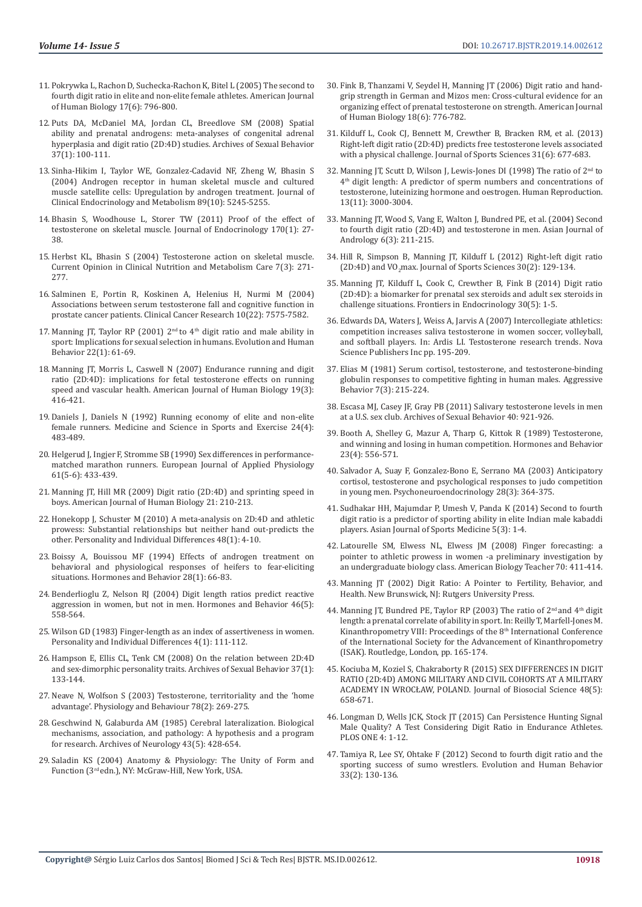- 11. [Pokrywka L, Rachon D, Suchecka-Rachon K, Bitel L \(2005\) The second to](https://onlinelibrary.wiley.com/doi/abs/10.1002/ajhb.20449)  [fourth digit ratio in elite and non-elite female athletes. American Journal](https://onlinelibrary.wiley.com/doi/abs/10.1002/ajhb.20449)  [of Human Biology 17\(6\): 796-800.](https://onlinelibrary.wiley.com/doi/abs/10.1002/ajhb.20449)
- 12. [Puts DA, McDaniel MA, Jordan CL, Breedlove SM \(2008\) Spatial](https://www.ncbi.nlm.nih.gov/pmc/articles/PMC2883918/)  [ability and prenatal androgens: meta-analyses of congenital adrenal](https://www.ncbi.nlm.nih.gov/pmc/articles/PMC2883918/)  [hyperplasia and digit ratio \(2D:4D\) studies. Archives of Sexual Behavior](https://www.ncbi.nlm.nih.gov/pmc/articles/PMC2883918/)  [37\(1\): 100-111.](https://www.ncbi.nlm.nih.gov/pmc/articles/PMC2883918/)
- 13. [Sinha-Hikim I, Taylor WE, Gonzalez-Cadavid NF, Zheng W, Bhasin S](https://www.ncbi.nlm.nih.gov/pubmed/15472231)  [\(2004\) Androgen receptor in human skeletal muscle and cultured](https://www.ncbi.nlm.nih.gov/pubmed/15472231)  [muscle satellite cells: Upregulation by androgen treatment. Journal of](https://www.ncbi.nlm.nih.gov/pubmed/15472231)  [Clinical Endocrinology and Metabolism 89\(10\): 5245-5255.](https://www.ncbi.nlm.nih.gov/pubmed/15472231)
- 14. [Bhasin S, Woodhouse L, Storer TW \(2011\) Proof of the effect of](https://www.ncbi.nlm.nih.gov/pubmed/11431134)  [testosterone on skeletal muscle. Journal of Endocrinology 170\(1\): 27-](https://www.ncbi.nlm.nih.gov/pubmed/11431134) [38.](https://www.ncbi.nlm.nih.gov/pubmed/11431134)
- 15. [Herbst KL, Bhasin S \(2004\) Testosterone action on skeletal muscle.](https://www.ncbi.nlm.nih.gov/pubmed/15075918)  [Current Opinion in Clinical Nutrition and Metabolism Care 7\(3\): 271-](https://www.ncbi.nlm.nih.gov/pubmed/15075918) [277.](https://www.ncbi.nlm.nih.gov/pubmed/15075918)
- 16. [Salminen E, Portin R, Koskinen A, Helenius H, Nurmi M \(2004\)](https://www.ncbi.nlm.nih.gov/pubmed/15569988)  [Associations between serum testosterone fall and cognitive function in](https://www.ncbi.nlm.nih.gov/pubmed/15569988)  [prostate cancer patients. Clinical Cancer Research 10\(22\): 7575-7582.](https://www.ncbi.nlm.nih.gov/pubmed/15569988)
- 17. Manning JT, Taylor RP (2001)  $2<sup>nd</sup>$  to  $4<sup>th</sup>$  digit ratio and male ability in [sport: Implications for sexual selection in humans. Evolution and Human](https://www.ncbi.nlm.nih.gov/pubmed/11182575)  [Behavior 22\(1\): 61-69.](https://www.ncbi.nlm.nih.gov/pubmed/11182575)
- 18. [Manning JT, Morris L, Caswell N \(2007\) Endurance running and digit](https://www.ncbi.nlm.nih.gov/pubmed/17420996)  [ratio \(2D:4D\): implications for fetal testosterone effects on running](https://www.ncbi.nlm.nih.gov/pubmed/17420996)  [speed and vascular health. American Journal of Human Biology 19\(3\):](https://www.ncbi.nlm.nih.gov/pubmed/17420996)  [416-421.](https://www.ncbi.nlm.nih.gov/pubmed/17420996)
- 19. [Daniels J, Daniels N \(1992\) Running economy of elite and non-elite](https://www.ncbi.nlm.nih.gov/pubmed/1560747)  [female runners. Medicine and Science in Sports and Exercise 24\(4\):](https://www.ncbi.nlm.nih.gov/pubmed/1560747)  [483-489.](https://www.ncbi.nlm.nih.gov/pubmed/1560747)
- 20. [Helgerud J, Ingjer F, Stromme SB \(1990\) Sex differences in performance](https://www.ncbi.nlm.nih.gov/pubmed/2079063)[matched marathon runners. European Journal of Applied Physiology](https://www.ncbi.nlm.nih.gov/pubmed/2079063)  [61\(5-6\): 433-439.](https://www.ncbi.nlm.nih.gov/pubmed/2079063)
- 21. [Manning JT, Hill MR \(2009\) Digit ratio \(2D:4D\) and sprinting speed in](https://www.ncbi.nlm.nih.gov/pubmed/19107924)  [boys. American Journal of Human Biology 21: 210-213.](https://www.ncbi.nlm.nih.gov/pubmed/19107924)
- 22. [Honekopp J, Schuster M \(2010\) A meta-analysis on 2D:4D and athletic](https://psycnet.apa.org/record/2009-18934-001)  [prowess: Substantial relationships but neither hand out-predicts the](https://psycnet.apa.org/record/2009-18934-001)  [other. Personality and Individual Differences 48\(1\): 4-10.](https://psycnet.apa.org/record/2009-18934-001)
- 23. [Boissy A, Bouissou MF \(1994\) Effects of androgen treatment on](https://www.ncbi.nlm.nih.gov/pubmed/8034283)  [behavioral and physiological responses of heifers to fear-eliciting](https://www.ncbi.nlm.nih.gov/pubmed/8034283)  [situations. Hormones and Behavior 28\(1\): 66-83.](https://www.ncbi.nlm.nih.gov/pubmed/8034283)
- 24. [Benderlioglu Z, Nelson RJ \(2004\) Digit length ratios predict reactive](https://www.ncbi.nlm.nih.gov/pubmed/15555497)  [aggression in women, but not in men. Hormones and Behavior 46\(5\):](https://www.ncbi.nlm.nih.gov/pubmed/15555497)  [558-564.](https://www.ncbi.nlm.nih.gov/pubmed/15555497)
- 25. [Wilson GD \(1983\) Finger-length as an index of assertiveness in women.](https://www.sciencedirect.com/science/article/pii/0191886983900612)  [Personality and Individual Differences 4\(1\): 111-112.](https://www.sciencedirect.com/science/article/pii/0191886983900612)
- 26. [Hampson E, Ellis CL, Tenk CM \(2008\) On the relation between 2D:4D](https://psycnet.apa.org/record/2008-04450-014)  [and sex-dimorphic personality traits. Archives of Sexual Behavior 37\(1\):](https://psycnet.apa.org/record/2008-04450-014)  [133-144.](https://psycnet.apa.org/record/2008-04450-014)
- 27. [Neave N, Wolfson S \(2003\) Testosterone, territoriality and the 'home](https://www.ncbi.nlm.nih.gov/pubmed/12576125)  [advantage'. Physiology and Behaviour 78\(2\): 269-275.](https://www.ncbi.nlm.nih.gov/pubmed/12576125)
- 28. [Geschwind N, Galaburda AM \(1985\) Cerebral lateralization. Biological](https://www.ncbi.nlm.nih.gov/pubmed/3994562)  [mechanisms, association, and pathology: A hypothesis and a program](https://www.ncbi.nlm.nih.gov/pubmed/3994562)  [for research. Archives of Neurology 43\(5\): 428-654.](https://www.ncbi.nlm.nih.gov/pubmed/3994562)
- 29. [Saladin KS \(2004\) Anatomy & Physiology: The Unity of Form and](https://trove.nla.gov.au/work/6559252?q&sort=holdings+desc&_=1550136727718&versionId=46529810+244193883)  Function (3rd [edn.\), NY: McGraw-Hill, New York, USA.](https://trove.nla.gov.au/work/6559252?q&sort=holdings+desc&_=1550136727718&versionId=46529810+244193883)
- 30. [Fink B, Thanzami V, Seydel H, Manning JT \(2006\) Digit ratio and hand](https://www.ncbi.nlm.nih.gov/pubmed/17039475)[grip strength in German and Mizos men: Cross-cultural evidence for an](https://www.ncbi.nlm.nih.gov/pubmed/17039475) [organizing effect of prenatal testosterone on strength. American Journal](https://www.ncbi.nlm.nih.gov/pubmed/17039475) [of Human Biology 18\(6\): 776-782.](https://www.ncbi.nlm.nih.gov/pubmed/17039475)
- 31. [Kilduff L, Cook CJ, Bennett M, Crewther B, Bracken RM, et al. \(2013\)](https://www.ncbi.nlm.nih.gov/pubmed/23210744) [Right-left digit ratio \(2D:4D\) predicts free testosterone levels associated](https://www.ncbi.nlm.nih.gov/pubmed/23210744) [with a physical challenge. Journal of Sports Sciences 31\(6\): 677-683.](https://www.ncbi.nlm.nih.gov/pubmed/23210744)
- 32. [Manning JT, Scutt D, Wilson J, Lewis-Jones DI \(1998\) The ratio of 2](https://www.ncbi.nlm.nih.gov/pubmed/9853845)<sup>nd</sup> to 4th [digit length: A predictor of sperm numbers and concentrations of](https://www.ncbi.nlm.nih.gov/pubmed/9853845) [testosterone, luteinizing hormone and oestrogen. Human Reproduction.](https://www.ncbi.nlm.nih.gov/pubmed/9853845) [13\(11\): 3000-3004.](https://www.ncbi.nlm.nih.gov/pubmed/9853845)
- 33. [Manning JT, Wood S, Vang E, Walton J, Bundred PE, et al. \(2004\) Second](https://www.ncbi.nlm.nih.gov/pubmed/15273869) [to fourth digit ratio \(2D:4D\) and testosterone in men. Asian Journal of](https://www.ncbi.nlm.nih.gov/pubmed/15273869) [Andrology 6\(3\): 211-215.](https://www.ncbi.nlm.nih.gov/pubmed/15273869)
- 34. [Hill R, Simpson B, Manning JT, Kilduff L \(2012\) Right-left digit ratio](https://www.ncbi.nlm.nih.gov/pubmed/22141747) (2D:4D) and VO<sub>2</sub>[max. Journal of Sports Sciences 30\(2\): 129-134.](https://www.ncbi.nlm.nih.gov/pubmed/22141747)
- 35. [Manning JT, Kilduff L, Cook C, Crewther B, Fink B \(2014\) Digit ratio](https://www.ncbi.nlm.nih.gov/pubmed/24523714) [\(2D:4D\): a biomarker for prenatal sex steroids and adult sex steroids in](https://www.ncbi.nlm.nih.gov/pubmed/24523714) [challenge situations. Frontiers in Endocrinology 30\(5\): 1-5.](https://www.ncbi.nlm.nih.gov/pubmed/24523714)
- 36. Edwards DA, Waters J, Weiss A, Jarvis A (2007) Intercollegiate athletics: competition increases saliva testosterone in women soccer, volleyball, and softball players. In: Ardis LI. Testosterone research trends. Nova Science Publishers Inc pp. 195-209.
- 37. [Elias M \(1981\) Serum cortisol, testosterone, and testosterone-binding](https://onlinelibrary.wiley.com/doi/abs/10.1002/1098-2337%281981%297%3A3%3C215%3A%3AAID-AB2480070305%3E3.0.CO%3B2-M) [globulin responses to competitive fighting in human males. Aggressive](https://onlinelibrary.wiley.com/doi/abs/10.1002/1098-2337%281981%297%3A3%3C215%3A%3AAID-AB2480070305%3E3.0.CO%3B2-M) [Behavior 7\(3\): 215-224.](https://onlinelibrary.wiley.com/doi/abs/10.1002/1098-2337%281981%297%3A3%3C215%3A%3AAID-AB2480070305%3E3.0.CO%3B2-M)
- 38. [Escasa MJ, Casey JF, Gray PB \(2011\) Salivary testosterone levels in men](https://www.researchgate.net/publication/49690517_Salivary_Testosterone_Levels_in_Men_at_a_US_Sex_Club) [at a U.S. sex club. Archives of Sexual Behavior 40: 921-926.](https://www.researchgate.net/publication/49690517_Salivary_Testosterone_Levels_in_Men_at_a_US_Sex_Club)
- 39. [Booth A, Shelley G, Mazur A, Tharp G, Kittok R \(1989\) Testosterone,](https://www.ncbi.nlm.nih.gov/pubmed/2606468) [and winning and losing in human competition. Hormones and Behavior](https://www.ncbi.nlm.nih.gov/pubmed/2606468) [23\(4\): 556-571.](https://www.ncbi.nlm.nih.gov/pubmed/2606468)
- 40. [Salvador A, Suay F, Gonzalez-Bono E, Serrano MA \(2003\) Anticipatory](https://www.ncbi.nlm.nih.gov/pubmed/12573302) [cortisol, testosterone and psychological responses to judo competition](https://www.ncbi.nlm.nih.gov/pubmed/12573302) [in young men. Psychoneuroendocrinology 28\(3\): 364-375.](https://www.ncbi.nlm.nih.gov/pubmed/12573302)
- 41. [Sudhakar HH, Majumdar P, Umesh V, Panda K \(2014\) Second to fourth](https://www.ncbi.nlm.nih.gov/pmc/articles/PMC4267485/) [digit ratio is a predictor of sporting ability in elite Indian male kabaddi](https://www.ncbi.nlm.nih.gov/pmc/articles/PMC4267485/) [players. Asian Journal of Sports Medicine 5\(3\): 1-4.](https://www.ncbi.nlm.nih.gov/pmc/articles/PMC4267485/)
- 42. [Latourelle SM, Elwess NL, Elwess JM \(2008\) Finger forecasting: a](https://www.researchgate.net/publication/232671684_Finger_Forecasting_A_Pointer_to_Athletic_Prowess_in_Women_A_Preliminary_Investigation_by_an_Undergraduate_Biology_Class) [pointer to athletic prowess in women -a preliminary investigation by](https://www.researchgate.net/publication/232671684_Finger_Forecasting_A_Pointer_to_Athletic_Prowess_in_Women_A_Preliminary_Investigation_by_an_Undergraduate_Biology_Class) [an undergraduate biology class. American Biology Teacher 70: 411-414.](https://www.researchgate.net/publication/232671684_Finger_Forecasting_A_Pointer_to_Athletic_Prowess_in_Women_A_Preliminary_Investigation_by_an_Undergraduate_Biology_Class)
- 43. [Manning JT \(2002\) Digit Ratio: A Pointer to Fertility, Behavior, and](https://trove.nla.gov.au/work/34718599?q&versionId=46714608+197427551) [Health. New Brunswick, NJ: Rutgers University Press.](https://trove.nla.gov.au/work/34718599?q&versionId=46714608+197427551)
- 44. Manning JT, Bundred PE, Taylor RP (2003) The ratio of  $2<sup>nd</sup>$  and  $4<sup>th</sup>$  digit [length: a prenatal correlate of ability in sport. In: Reilly T, Marfell-Jones M.](https://www.taylorfrancis.com/books/e/9781134439089/chapters/10.4324%2F9780203987858-24) [Kinanthropometry VIII: Proceedings of the 8](https://www.taylorfrancis.com/books/e/9781134439089/chapters/10.4324%2F9780203987858-24)th International Conference [of the International Society for the Advancement of Kinanthropometry](https://www.taylorfrancis.com/books/e/9781134439089/chapters/10.4324%2F9780203987858-24) [\(ISAK\). Routledge, London, pp. 165-174.](https://www.taylorfrancis.com/books/e/9781134439089/chapters/10.4324%2F9780203987858-24)
- 45. [Kociuba M, Koziel S, Chakraborty R \(2015\) SEX DIFFERENCES IN DIGIT](https://www.ncbi.nlm.nih.gov/pubmed/26593964) [RATIO \(2D:4D\) AMONG MILITARY AND CIVIL COHORTS AT A MILITARY](https://www.ncbi.nlm.nih.gov/pubmed/26593964) [ACADEMY IN WROCŁAW, POLAND. Journal of Biosocial Science 48\(5\):](https://www.ncbi.nlm.nih.gov/pubmed/26593964) [658-671.](https://www.ncbi.nlm.nih.gov/pubmed/26593964)
- 46. [Longman D, Wells JCK, Stock JT \(2015\) Can Persistence Hunting Signal](https://journals.plos.org/plosone/article?id=10.1371/journal.pone.0121560) [Male Quality? A Test Considering Digit Ratio in Endurance Athletes.](https://journals.plos.org/plosone/article?id=10.1371/journal.pone.0121560) [PLOS ONE 4: 1-12.](https://journals.plos.org/plosone/article?id=10.1371/journal.pone.0121560)
- 47. [Tamiya R, Lee SY, Ohtake F \(2012\) Second to fourth digit ratio and the](https://www.sciencedirect.com/science/article/pii/S1090513811000705) [sporting success of sumo wrestlers. Evolution and Human Behavior](https://www.sciencedirect.com/science/article/pii/S1090513811000705) [33\(2\): 130-136.](https://www.sciencedirect.com/science/article/pii/S1090513811000705)